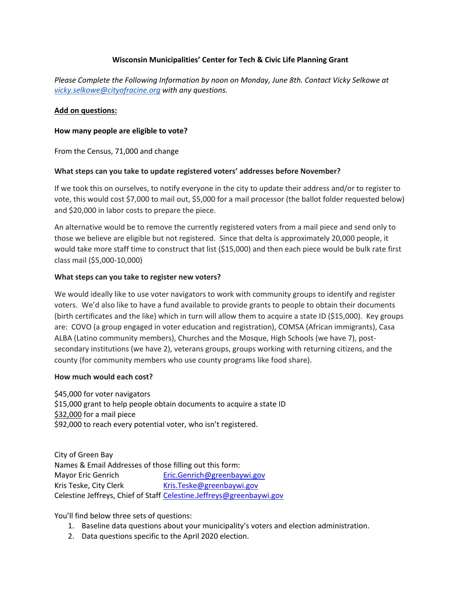## **Wisconsin Municipalities' Center for Tech & Civic Life Planning Grant**

*Please Complete the Following Information by noon on Monday, June 8th. Contact Vicky Selkowe at [vicky.selkowe@cityofracine.org](mailto:vicky.selkowe@cityofracine.org) with any questions.*

#### **Add on questions:**

#### **How many people are eligible to vote?**

From the Census, 71,000 and change

#### **What steps can you take to update registered voters' addresses before November?**

If we took this on ourselves, to notify everyone in the city to update their address and/or to register to vote, this would cost \$7,000 to mail out, \$5,000 for a mail processor (the ballot folder requested below) and \$20,000 in labor costs to prepare the piece.

An alternative would be to remove the currently registered voters from a mail piece and send only to those we believe are eligible but not registered. Since that delta is approximately 20,000 people, it would take more staff time to construct that list (\$15,000) and then each piece would be bulk rate first class mail (\$5,000-10,000)

#### **What steps can you take to register new voters?**

We would ideally like to use voter navigators to work with community groups to identify and register voters. We'd also like to have a fund available to provide grants to people to obtain their documents (birth certificates and the like) which in turn will allow them to acquire a state ID (\$15,000). Key groups are: COVO (a group engaged in voter education and registration), COMSA (African immigrants), Casa ALBA (Latino community members), Churches and the Mosque, High Schools (we have 7), postsecondary institutions (we have 2), veterans groups, groups working with returning citizens, and the county (for community members who use county programs like food share).

#### **How much would each cost?**

\$45,000 for voter navigators \$15,000 grant to help people obtain documents to acquire a state ID \$32,000 for a mail piece \$92,000 to reach every potential voter, who isn't registered.

City of Green Bay Names & Email Addresses of those filling out this form: Mayor Eric Genrich [Eric.Genrich@greenbaywi.gov](mailto:Eric.Genrich@greenbaywi.gov) Kris Teske, City Clerk [Kris.Teske@greenbaywi.gov](mailto:Kris.Teske@greenbaywi.gov) Celestine Jeffreys, Chief of Staff [Celestine.Jeffreys@greenbaywi.gov](mailto:Celestine.Jeffreys@greenbaywi.gov)

You'll find below three sets of questions:

- 1. Baseline data questions about your municipality's voters and election administration.
- 2. Data questions specific to the April 2020 election.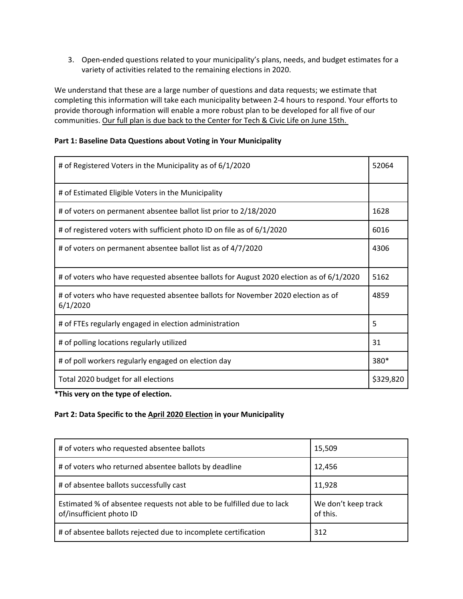3. Open-ended questions related to your municipality's plans, needs, and budget estimates for a variety of activities related to the remaining elections in 2020.

We understand that these are a large number of questions and data requests; we estimate that completing this information will take each municipality between 2-4 hours to respond. Your efforts to provide thorough information will enable a more robust plan to be developed for all five of our communities. Our full plan is due back to the Center for Tech & Civic Life on June 15th.

## **Part 1: Baseline Data Questions about Voting in Your Municipality**

| # of Registered Voters in the Municipality as of 6/1/2020                                    | 52064     |
|----------------------------------------------------------------------------------------------|-----------|
| # of Estimated Eligible Voters in the Municipality                                           |           |
| # of voters on permanent absentee ballot list prior to 2/18/2020                             | 1628      |
| # of registered voters with sufficient photo ID on file as of 6/1/2020                       | 6016      |
| # of voters on permanent absentee ballot list as of 4/7/2020                                 | 4306      |
| # of voters who have requested absentee ballots for August 2020 election as of 6/1/2020      | 5162      |
| # of voters who have requested absentee ballots for November 2020 election as of<br>6/1/2020 |           |
| # of FTEs regularly engaged in election administration                                       | 5         |
| # of polling locations regularly utilized                                                    | 31        |
| # of poll workers regularly engaged on election day                                          | 380*      |
| Total 2020 budget for all elections                                                          | \$329,820 |

**\*This very on the type of election.**

#### **Part 2: Data Specific to the April 2020 Election in your Municipality**

| # of voters who requested absentee ballots                                                        | 15,509                          |
|---------------------------------------------------------------------------------------------------|---------------------------------|
| # of voters who returned absentee ballots by deadline                                             | 12,456                          |
| # of absentee ballots successfully cast                                                           | 11,928                          |
| Estimated % of absentee requests not able to be fulfilled due to lack<br>of/insufficient photo ID | We don't keep track<br>of this. |
| # of absentee ballots rejected due to incomplete certification                                    | 312                             |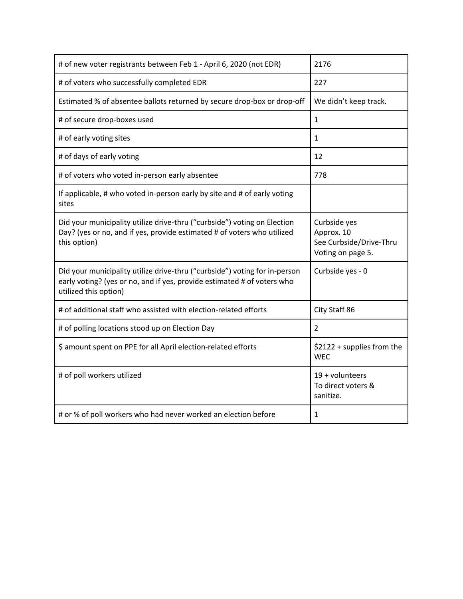| # of new voter registrants between Feb 1 - April 6, 2020 (not EDR)                                                                                                             | 2176                                                                       |
|--------------------------------------------------------------------------------------------------------------------------------------------------------------------------------|----------------------------------------------------------------------------|
| # of voters who successfully completed EDR                                                                                                                                     | 227                                                                        |
| Estimated % of absentee ballots returned by secure drop-box or drop-off                                                                                                        | We didn't keep track.                                                      |
| # of secure drop-boxes used                                                                                                                                                    | $\mathbf{1}$                                                               |
| # of early voting sites                                                                                                                                                        | $\mathbf{1}$                                                               |
| # of days of early voting                                                                                                                                                      | 12                                                                         |
| # of voters who voted in-person early absentee                                                                                                                                 | 778                                                                        |
| If applicable, # who voted in-person early by site and # of early voting<br>sites                                                                                              |                                                                            |
| Did your municipality utilize drive-thru ("curbside") voting on Election<br>Day? (yes or no, and if yes, provide estimated # of voters who utilized<br>this option)            | Curbside yes<br>Approx. 10<br>See Curbside/Drive-Thru<br>Voting on page 5. |
| Did your municipality utilize drive-thru ("curbside") voting for in-person<br>early voting? (yes or no, and if yes, provide estimated # of voters who<br>utilized this option) | Curbside yes - 0                                                           |
| # of additional staff who assisted with election-related efforts                                                                                                               | City Staff 86                                                              |
| # of polling locations stood up on Election Day                                                                                                                                | $\overline{2}$                                                             |
| \$ amount spent on PPE for all April election-related efforts                                                                                                                  | \$2122 + supplies from the<br><b>WEC</b>                                   |
| # of poll workers utilized                                                                                                                                                     | $19 +$ volunteers<br>To direct voters &<br>sanitize.                       |
| # or % of poll workers who had never worked an election before                                                                                                                 | $\mathbf{1}$                                                               |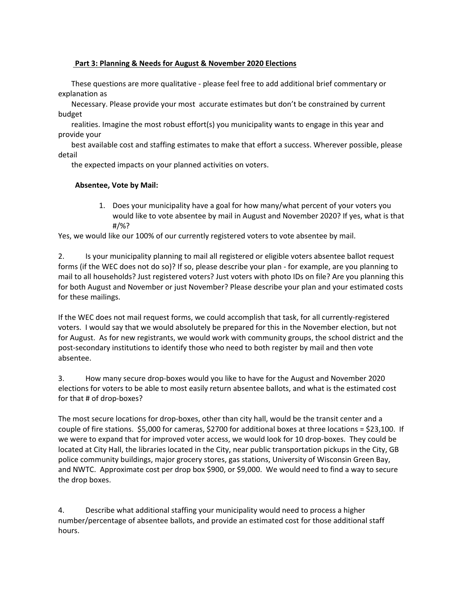## **Part 3: Planning & Needs for August & November 2020 Elections**

 These questions are more qualitative - please feel free to add additional brief commentary or explanation as

 Necessary. Please provide your most accurate estimates but don't be constrained by current budget

 realities. Imagine the most robust effort(s) you municipality wants to engage in this year and provide your

 best available cost and staffing estimates to make that effort a success. Wherever possible, please detail

the expected impacts on your planned activities on voters.

## **Absentee, Vote by Mail:**

1. Does your municipality have a goal for how many/what percent of your voters you would like to vote absentee by mail in August and November 2020? If yes, what is that #/%?

Yes, we would like our 100% of our currently registered voters to vote absentee by mail.

2. Is your municipality planning to mail all registered or eligible voters absentee ballot request forms (if the WEC does not do so)? If so, please describe your plan - for example, are you planning to mail to all households? Just registered voters? Just voters with photo IDs on file? Are you planning this for both August and November or just November? Please describe your plan and your estimated costs for these mailings.

If the WEC does not mail request forms, we could accomplish that task, for all currently-registered voters. I would say that we would absolutely be prepared for this in the November election, but not for August. As for new registrants, we would work with community groups, the school district and the post-secondary institutions to identify those who need to both register by mail and then vote absentee.

3. How many secure drop-boxes would you like to have for the August and November 2020 elections for voters to be able to most easily return absentee ballots, and what is the estimated cost for that # of drop-boxes?

The most secure locations for drop-boxes, other than city hall, would be the transit center and a couple of fire stations. \$5,000 for cameras, \$2700 for additional boxes at three locations = \$23,100. If we were to expand that for improved voter access, we would look for 10 drop-boxes. They could be located at City Hall, the libraries located in the City, near public transportation pickups in the City, GB police community buildings, major grocery stores, gas stations, University of Wisconsin Green Bay, and NWTC. Approximate cost per drop box \$900, or \$9,000. We would need to find a way to secure the drop boxes.

4. Describe what additional staffing your municipality would need to process a higher number/percentage of absentee ballots, and provide an estimated cost for those additional staff hours.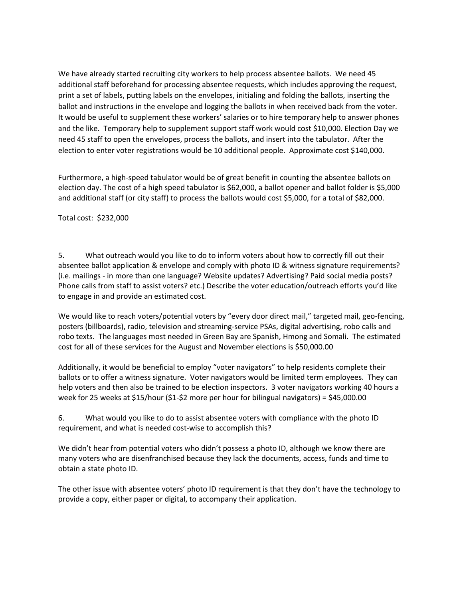We have already started recruiting city workers to help process absentee ballots. We need 45 additional staff beforehand for processing absentee requests, which includes approving the request, print a set of labels, putting labels on the envelopes, initialing and folding the ballots, inserting the ballot and instructions in the envelope and logging the ballots in when received back from the voter. It would be useful to supplement these workers' salaries or to hire temporary help to answer phones and the like. Temporary help to supplement support staff work would cost \$10,000. Election Day we need 45 staff to open the envelopes, process the ballots, and insert into the tabulator. After the election to enter voter registrations would be 10 additional people. Approximate cost \$140,000.

Furthermore, a high-speed tabulator would be of great benefit in counting the absentee ballots on election day. The cost of a high speed tabulator is \$62,000, a ballot opener and ballot folder is \$5,000 and additional staff (or city staff) to process the ballots would cost \$5,000, for a total of \$82,000.

Total cost: \$232,000

5. What outreach would you like to do to inform voters about how to correctly fill out their absentee ballot application & envelope and comply with photo ID & witness signature requirements? (i.e. mailings - in more than one language? Website updates? Advertising? Paid social media posts? Phone calls from staff to assist voters? etc.) Describe the voter education/outreach efforts you'd like to engage in and provide an estimated cost.

We would like to reach voters/potential voters by "every door direct mail," targeted mail, geo-fencing, posters (billboards), radio, television and streaming-service PSAs, digital advertising, robo calls and robo texts. The languages most needed in Green Bay are Spanish, Hmong and Somali. The estimated cost for all of these services for the August and November elections is \$50,000.00

Additionally, it would be beneficial to employ "voter navigators" to help residents complete their ballots or to offer a witness signature. Voter navigators would be limited term employees. They can help voters and then also be trained to be election inspectors. 3 voter navigators working 40 hours a week for 25 weeks at \$15/hour (\$1-\$2 more per hour for bilingual navigators) = \$45,000.00

6. What would you like to do to assist absentee voters with compliance with the photo ID requirement, and what is needed cost-wise to accomplish this?

We didn't hear from potential voters who didn't possess a photo ID, although we know there are many voters who are disenfranchised because they lack the documents, access, funds and time to obtain a state photo ID.

The other issue with absentee voters' photo ID requirement is that they don't have the technology to provide a copy, either paper or digital, to accompany their application.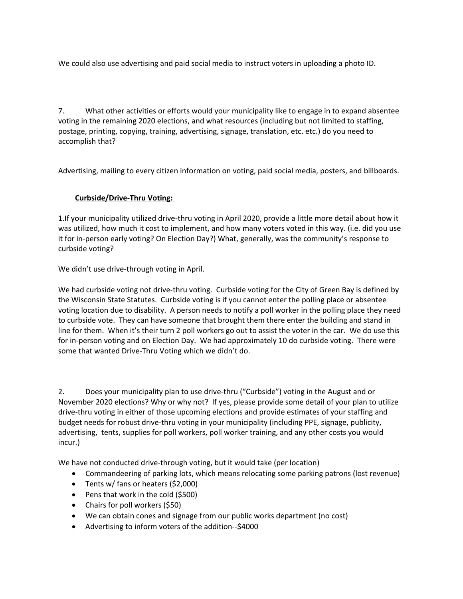We could also use advertising and paid social media to instruct voters in uploading a photo ID.

7. What other activities or efforts would your municipality like to engage in to expand absentee voting in the remaining 2020 elections, and what resources (including but not limited to staffing, postage, printing, copying, training, advertising, signage, translation, etc. etc.) do you need to accomplish that?

Advertising, mailing to every citizen information on voting, paid social media, posters, and billboards.

## **Curbside/Drive-Thru Voting:**

1.If your municipality utilized drive-thru voting in April 2020, provide a little more detail about how it was utilized, how much it cost to implement, and how many voters voted in this way. (i.e. did you use it for in-person early voting? On Election Day?) What, generally, was the community's response to curbside voting?

We didn't use drive-through voting in April.

We had curbside voting not drive-thru voting. Curbside voting for the City of Green Bay is defined by the Wisconsin State Statutes. Curbside voting is if you cannot enter the polling place or absentee voting location due to disability. A person needs to notify a poll worker in the polling place they need to curbside vote. They can have someone that brought them there enter the building and stand in line for them. When it's their turn 2 poll workers go out to assist the voter in the car. We do use this for in-person voting and on Election Day. We had approximately 10 do curbside voting. There were some that wanted Drive-Thru Voting which we didn't do.

2. Does your municipality plan to use drive-thru ("Curbside") voting in the August and or November 2020 elections? Why or why not? If yes, please provide some detail of your plan to utilize drive-thru voting in either of those upcoming elections and provide estimates of your staffing and budget needs for robust drive-thru voting in your municipality (including PPE, signage, publicity, advertising, tents, supplies for poll workers, poll worker training, and any other costs you would incur.)

We have not conducted drive-through voting, but it would take (per location)

- Commandeering of parking lots, which means relocating some parking patrons (lost revenue)
- Tents w/ fans or heaters (\$2,000)
- Pens that work in the cold (\$500)
- Chairs for poll workers (\$50)
- We can obtain cones and signage from our public works department (no cost)
- Advertising to inform voters of the addition--\$4000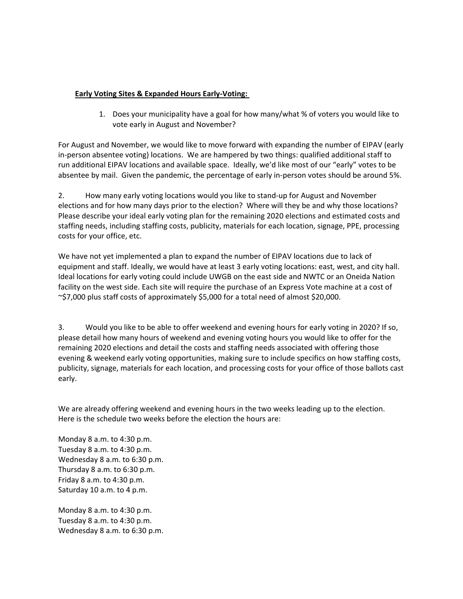## **Early Voting Sites & Expanded Hours Early-Voting:**

1. Does your municipality have a goal for how many/what % of voters you would like to vote early in August and November?

For August and November, we would like to move forward with expanding the number of EIPAV (early in-person absentee voting) locations. We are hampered by two things: qualified additional staff to run additional EIPAV locations and available space. Ideally, we'd like most of our "early" votes to be absentee by mail. Given the pandemic, the percentage of early in-person votes should be around 5%.

2. How many early voting locations would you like to stand-up for August and November elections and for how many days prior to the election? Where will they be and why those locations? Please describe your ideal early voting plan for the remaining 2020 elections and estimated costs and staffing needs, including staffing costs, publicity, materials for each location, signage, PPE, processing costs for your office, etc.

We have not yet implemented a plan to expand the number of EIPAV locations due to lack of equipment and staff. Ideally, we would have at least 3 early voting locations: east, west, and city hall. Ideal locations for early voting could include UWGB on the east side and NWTC or an Oneida Nation facility on the west side. Each site will require the purchase of an Express Vote machine at a cost of ~\$7,000 plus staff costs of approximately \$5,000 for a total need of almost \$20,000.

3. Would you like to be able to offer weekend and evening hours for early voting in 2020? If so, please detail how many hours of weekend and evening voting hours you would like to offer for the remaining 2020 elections and detail the costs and staffing needs associated with offering those evening & weekend early voting opportunities, making sure to include specifics on how staffing costs, publicity, signage, materials for each location, and processing costs for your office of those ballots cast early.

We are already offering weekend and evening hours in the two weeks leading up to the election. Here is the schedule two weeks before the election the hours are:

Monday 8 a.m. to 4:30 p.m. Tuesday 8 a.m. to 4:30 p.m. Wednesday 8 a.m. to 6:30 p.m. Thursday 8 a.m. to 6:30 p.m. Friday 8 a.m. to 4:30 p.m. Saturday 10 a.m. to 4 p.m.

Monday 8 a.m. to 4:30 p.m. Tuesday 8 a.m. to 4:30 p.m. Wednesday 8 a.m. to 6:30 p.m.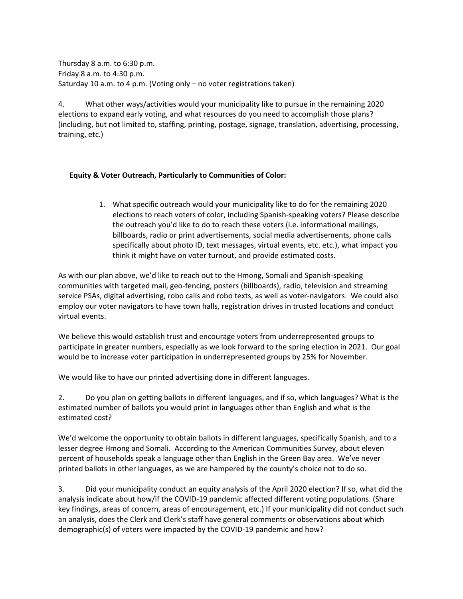Thursday 8 a.m. to 6:30 p.m. Friday 8 a.m. to 4:30 p.m. Saturday 10 a.m. to 4 p.m. (Voting only – no voter registrations taken)

4. What other ways/activities would your municipality like to pursue in the remaining 2020 elections to expand early voting, and what resources do you need to accomplish those plans? (including, but not limited to, staffing, printing, postage, signage, translation, advertising, processing, training, etc.)

#### **Equity & Voter Outreach, Particularly to Communities of Color:**

1. What specific outreach would your municipality like to do for the remaining 2020 elections to reach voters of color, including Spanish-speaking voters? Please describe the outreach you'd like to do to reach these voters (i.e. informational mailings, billboards, radio or print advertisements, social media advertisements, phone calls specifically about photo ID, text messages, virtual events, etc. etc.), what impact you think it might have on voter turnout, and provide estimated costs.

As with our plan above, we'd like to reach out to the Hmong, Somali and Spanish-speaking communities with targeted mail, geo-fencing, posters (billboards), radio, television and streaming service PSAs, digital advertising, robo calls and robo texts, as well as voter-navigators. We could also employ our voter navigators to have town halls, registration drives in trusted locations and conduct virtual events.

We believe this would establish trust and encourage voters from underrepresented groups to participate in greater numbers, especially as we look forward to the spring election in 2021. Our goal would be to increase voter participation in underrepresented groups by 25% for November.

We would like to have our printed advertising done in different languages.

2. Do you plan on getting ballots in different languages, and if so, which languages? What is the estimated number of ballots you would print in languages other than English and what is the estimated cost?

We'd welcome the opportunity to obtain ballots in different languages, specifically Spanish, and to a lesser degree Hmong and Somali. According to the American Communities Survey, about eleven percent of households speak a language other than English in the Green Bay area. We've never printed ballots in other languages, as we are hampered by the county's choice not to do so.

3. Did your municipality conduct an equity analysis of the April 2020 election? If so, what did the analysis indicate about how/if the COVID-19 pandemic affected different voting populations. (Share key findings, areas of concern, areas of encouragement, etc.) If your municipality did not conduct such an analysis, does the Clerk and Clerk's staff have general comments or observations about which demographic(s) of voters were impacted by the COVID-19 pandemic and how?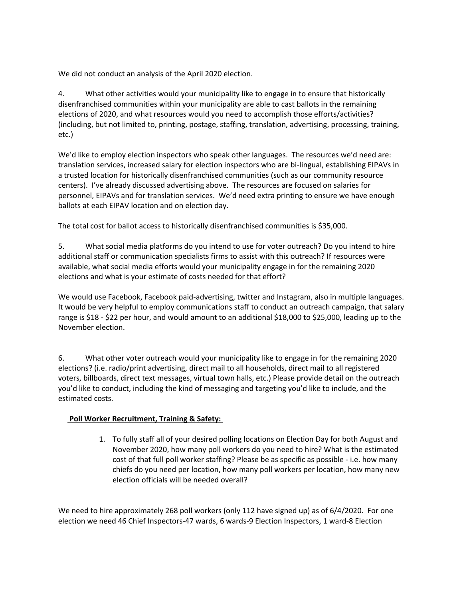We did not conduct an analysis of the April 2020 election.

4. What other activities would your municipality like to engage in to ensure that historically disenfranchised communities within your municipality are able to cast ballots in the remaining elections of 2020, and what resources would you need to accomplish those efforts/activities? (including, but not limited to, printing, postage, staffing, translation, advertising, processing, training, etc.)

We'd like to employ election inspectors who speak other languages. The resources we'd need are: translation services, increased salary for election inspectors who are bi-lingual, establishing EIPAVs in a trusted location for historically disenfranchised communities (such as our community resource centers). I've already discussed advertising above. The resources are focused on salaries for personnel, EIPAVs and for translation services. We'd need extra printing to ensure we have enough ballots at each EIPAV location and on election day.

The total cost for ballot access to historically disenfranchised communities is \$35,000.

5. What social media platforms do you intend to use for voter outreach? Do you intend to hire additional staff or communication specialists firms to assist with this outreach? If resources were available, what social media efforts would your municipality engage in for the remaining 2020 elections and what is your estimate of costs needed for that effort?

We would use Facebook, Facebook paid-advertising, twitter and Instagram, also in multiple languages. It would be very helpful to employ communications staff to conduct an outreach campaign, that salary range is \$18 - \$22 per hour, and would amount to an additional \$18,000 to \$25,000, leading up to the November election.

6. What other voter outreach would your municipality like to engage in for the remaining 2020 elections? (i.e. radio/print advertising, direct mail to all households, direct mail to all registered voters, billboards, direct text messages, virtual town halls, etc.) Please provide detail on the outreach you'd like to conduct, including the kind of messaging and targeting you'd like to include, and the estimated costs.

# **Poll Worker Recruitment, Training & Safety:**

1. To fully staff all of your desired polling locations on Election Day for both August and November 2020, how many poll workers do you need to hire? What is the estimated cost of that full poll worker staffing? Please be as specific as possible - i.e. how many chiefs do you need per location, how many poll workers per location, how many new election officials will be needed overall?

We need to hire approximately 268 poll workers (only 112 have signed up) as of 6/4/2020. For one election we need 46 Chief Inspectors-47 wards, 6 wards-9 Election Inspectors, 1 ward-8 Election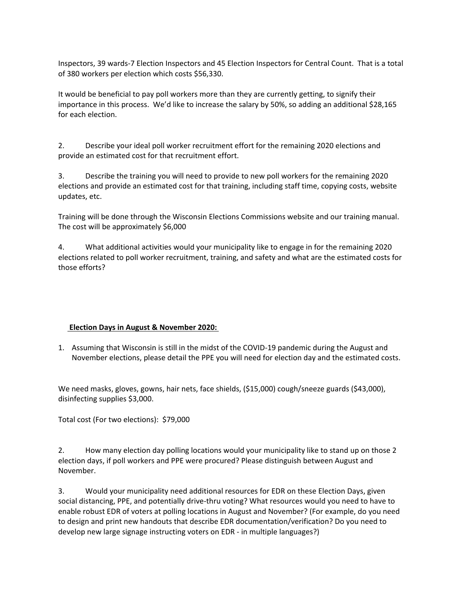Inspectors, 39 wards-7 Election Inspectors and 45 Election Inspectors for Central Count. That is a total of 380 workers per election which costs \$56,330.

It would be beneficial to pay poll workers more than they are currently getting, to signify their importance in this process. We'd like to increase the salary by 50%, so adding an additional \$28,165 for each election.

2. Describe your ideal poll worker recruitment effort for the remaining 2020 elections and provide an estimated cost for that recruitment effort.

3. Describe the training you will need to provide to new poll workers for the remaining 2020 elections and provide an estimated cost for that training, including staff time, copying costs, website updates, etc.

Training will be done through the Wisconsin Elections Commissions website and our training manual. The cost will be approximately \$6,000

4. What additional activities would your municipality like to engage in for the remaining 2020 elections related to poll worker recruitment, training, and safety and what are the estimated costs for those efforts?

# **Election Days in August & November 2020:**

1. Assuming that Wisconsin is still in the midst of the COVID-19 pandemic during the August and November elections, please detail the PPE you will need for election day and the estimated costs.

We need masks, gloves, gowns, hair nets, face shields, (\$15,000) cough/sneeze guards (\$43,000), disinfecting supplies \$3,000.

Total cost (For two elections): \$79,000

2. How many election day polling locations would your municipality like to stand up on those 2 election days, if poll workers and PPE were procured? Please distinguish between August and November.

3. Would your municipality need additional resources for EDR on these Election Days, given social distancing, PPE, and potentially drive-thru voting? What resources would you need to have to enable robust EDR of voters at polling locations in August and November? (For example, do you need to design and print new handouts that describe EDR documentation/verification? Do you need to develop new large signage instructing voters on EDR - in multiple languages?)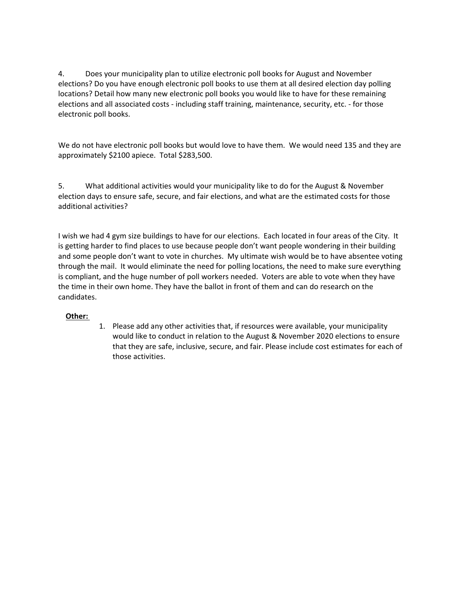4. Does your municipality plan to utilize electronic poll books for August and November elections? Do you have enough electronic poll books to use them at all desired election day polling locations? Detail how many new electronic poll books you would like to have for these remaining elections and all associated costs - including staff training, maintenance, security, etc. - for those electronic poll books.

We do not have electronic poll books but would love to have them. We would need 135 and they are approximately \$2100 apiece. Total \$283,500.

5. What additional activities would your municipality like to do for the August & November election days to ensure safe, secure, and fair elections, and what are the estimated costs for those additional activities?

I wish we had 4 gym size buildings to have for our elections. Each located in four areas of the City. It is getting harder to find places to use because people don't want people wondering in their building and some people don't want to vote in churches. My ultimate wish would be to have absentee voting through the mail. It would eliminate the need for polling locations, the need to make sure everything is compliant, and the huge number of poll workers needed. Voters are able to vote when they have the time in their own home. They have the ballot in front of them and can do research on the candidates.

# **Other:**

1. Please add any other activities that, if resources were available, your municipality would like to conduct in relation to the August & November 2020 elections to ensure that they are safe, inclusive, secure, and fair. Please include cost estimates for each of those activities.